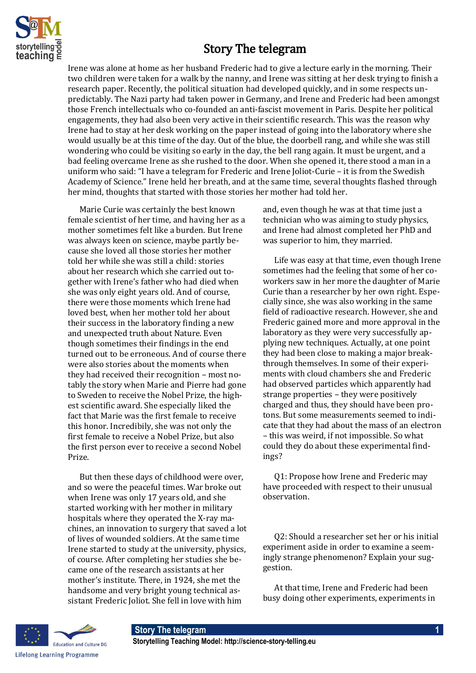

## Story The telegram

Irene was alone at home as her husband Frederic had to give a lecture early in the morning. Their two children were taken for a walk by the nanny, and Irene was sitting at her desk trying to finish a research paper. Recently, the political situation had developed quickly, and in some respects unpredictably. The Nazi party had taken power in Germany, and Irene and Frederic had been amongst those French intellectuals who co-founded an anti-fascist movement in Paris. Despite her political engagements, they had also been very active in their scientific research. This was the reason why Irene had to stay at her desk working on the paper instead of going into the laboratory where she would usually be at this time of the day. Out of the blue, the doorbell rang, and while she was still wondering who could be visiting so early in the day, the bell rang again. It must be urgent, and a bad feeling overcame Irene as she rushed to the door. When she opened it, there stood a man in a uniform who said: "I have a telegram for Frederic and Irene Joliot-Curie – it is from the Swedish Academy of Science." Irene held her breath, and at the same time, several thoughts flashed through her mind, thoughts that started with those stories her mother had told her.

Marie Curie was certainly the best known female scientist of her time, and having her as a mother sometimes felt like a burden. But Irene was always keen on science, maybe partly because she loved all those stories her mother told her while she was still a child: stories about her research which she carried out together with Irene's father who had died when she was only eight years old. And of course, there were those moments which Irene had loved best, when her mother told her about their success in the laboratory finding a new and unexpected truth about Nature. Even though sometimes their findings in the end turned out to be erroneous. And of course there were also stories about the moments when they had received their recognition – most notably the story when Marie and Pierre had gone to Sweden to receive the Nobel Prize, the highest scientific award. She especially liked the fact that Marie was the first female to receive this honor. Incredibily, she was not only the first female to receive a Nobel Prize, but also the first person ever to receive a second Nobel Prize.

But then these days of childhood were over, and so were the peaceful times. War broke out when Irene was only 17 years old, and she started working with her mother in military hospitals where they operated the X-ray machines, an innovation to surgery that saved a lot of lives of wounded soldiers. At the same time Irene started to study at the university, physics, of course. After completing her studies she became one of the research assistants at her mother's institute. There, in 1924, she met the handsome and very bright young technical assistant Frederic Joliot. She fell in love with him

and, even though he was at that time just a technician who was aiming to study physics, and Irene had almost completed her PhD and was superior to him, they married.

Life was easy at that time, even though Irene sometimes had the feeling that some of her coworkers saw in her more the daughter of Marie Curie than a researcher by her own right. Especially since, she was also working in the same field of radioactive research. However, she and Frederic gained more and more approval in the laboratory as they were very successfully applying new techniques. Actually, at one point they had been close to making a major breakthrough themselves. In some of their experiments with cloud chambers she and Frederic had observed particles which apparently had strange properties – they were positively charged and thus, they should have been protons. But some measurements seemed to indicate that they had about the mass of an electron – this was weird, if not impossible. So what could they do about these experimental findings?

Q1: Propose how Irene and Frederic may have proceeded with respect to their unusual observation.

Q2: Should a researcher set her or his initial experiment aside in order to examine a seemingly strange phenomenon? Explain your suggestion.

At that time, Irene and Frederic had been busy doing other experiments, experiments in



## **Story The telegram 1**

**Storytelling Teaching Model: http://science-story-telling.eu**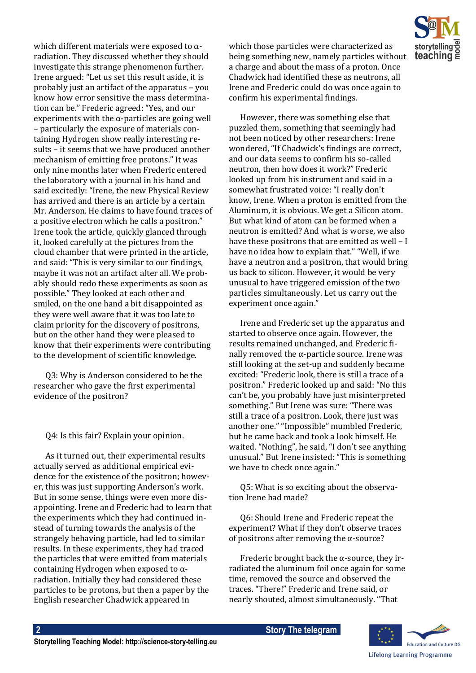which different materials were exposed to  $\alpha$ radiation. They discussed whether they should investigate this strange phenomenon further. Irene argued: "Let us set this result aside, it is probably just an artifact of the apparatus – you know how error sensitive the mass determination can be." Frederic agreed: "Yes, and our experiments with the  $\alpha$ -particles are going well – particularly the exposure of materials containing Hydrogen show really interesting results – it seems that we have produced another mechanism of emitting free protons." It was only nine months later when Frederic entered the laboratory with a journal in his hand and said excitedly: "Irene, the new Physical Review has arrived and there is an article by a certain Mr. Anderson. He claims to have found traces of a positive electron which he calls a positron." Irene took the article, quickly glanced through it, looked carefully at the pictures from the cloud chamber that were printed in the article, and said: "This is very similar to our findings, maybe it was not an artifact after all. We probably should redo these experiments as soon as possible." They looked at each other and smiled, on the one hand a bit disappointed as they were well aware that it was too late to claim priority for the discovery of positrons, but on the other hand they were pleased to know that their experiments were contributing to the development of scientific knowledge.

Q3: Why is Anderson considered to be the researcher who gave the first experimental evidence of the positron?

Q4: Is this fair? Explain your opinion.

As it turned out, their experimental results actually served as additional empirical evidence for the existence of the positron; however, this was just supporting Anderson's work. But in some sense, things were even more disappointing. Irene and Frederic had to learn that the experiments which they had continued instead of turning towards the analysis of the strangely behaving particle, had led to similar results. In these experiments, they had traced the particles that were emitted from materials containing Hydrogen when exposed to αradiation. Initially they had considered these particles to be protons, but then a paper by the English researcher Chadwick appeared in

which those particles were characterized as being something new, namely particles without a charge and about the mass of a proton. Once Chadwick had identified these as neutrons, all Irene and Frederic could do was once again to confirm his experimental findings.

However, there was something else that puzzled them, something that seemingly had not been noticed by other researchers: Irene wondered, "If Chadwick's findings are correct, and our data seems to confirm his so-called neutron, then how does it work?" Frederic looked up from his instrument and said in a somewhat frustrated voice: "I really don't know, Irene. When a proton is emitted from the Aluminum, it is obvious. We get a Silicon atom. But what kind of atom can be formed when a neutron is emitted? And what is worse, we also have these positrons that are emitted as well – I have no idea how to explain that." "Well, if we have a neutron and a positron, that would bring us back to silicon. However, it would be very unusual to have triggered emission of the two particles simultaneously. Let us carry out the experiment once again."

Irene and Frederic set up the apparatus and started to observe once again. However, the results remained unchanged, and Frederic finally removed the α-particle source. Irene was still looking at the set-up and suddenly became excited: "Frederic look, there is still a trace of a positron." Frederic looked up and said: "No this can't be, you probably have just misinterpreted something." But Irene was sure: "There was still a trace of a positron. Look, there just was another one." "Impossible" mumbled Frederic, but he came back and took a look himself. He waited. "Nothing", he said, "I don't see anything unusual." But Irene insisted: "This is something we have to check once again."

Q5: What is so exciting about the observation Irene had made?

Q6: Should Irene and Frederic repeat the experiment? What if they don't observe traces of positrons after removing the  $\alpha$ -source?

Frederic brought back the  $\alpha$ -source, they irradiated the aluminum foil once again for some time, removed the source and observed the traces. "There!" Frederic and Irene said, or nearly shouted, almost simultaneously. "That



**2 2 Story The telegram**